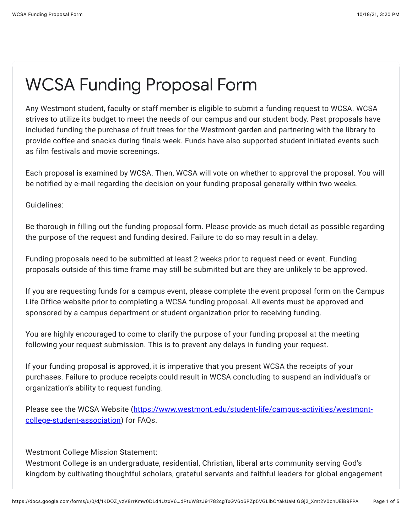## WCSA Funding Proposal Form

Any Westmont student, faculty or staff member is eligible to submit a funding request to WCSA. WCSA strives to utilize its budget to meet the needs of our campus and our student body. Past proposals have included funding the purchase of fruit trees for the Westmont garden and partnering with the library to provide coffee and snacks during finals week. Funds have also supported student initiated events such as film festivals and movie screenings.

Each proposal is examined by WCSA. Then, WCSA will vote on whether to approval the proposal. You will be notified by e-mail regarding the decision on your funding proposal generally within two weeks.

Guidelines:

Be thorough in filling out the funding proposal form. Please provide as much detail as possible regarding the purpose of the request and funding desired. Failure to do so may result in a delay.

Funding proposals need to be submitted at least 2 weeks prior to request need or event. Funding proposals outside of this time frame may still be submitted but are they are unlikely to be approved.

If you are requesting funds for a campus event, please complete the event proposal form on the Campus Life Office website prior to completing a WCSA funding proposal. All events must be approved and sponsored by a campus department or student organization prior to receiving funding.

You are highly encouraged to come to clarify the purpose of your funding proposal at the meeting following your request submission. This is to prevent any delays in funding your request.

If your funding proposal is approved, it is imperative that you present WCSA the receipts of your purchases. Failure to produce receipts could result in WCSA concluding to suspend an individual's or organization's ability to request funding.

[Please see the WCSA Website \(https://www.westmont.edu/student-life/campus-activities/westmont](https://www.google.com/url?q=https://www.westmont.edu/student-life/campus-activities/westmont-college-student-association&sa=D&source=editors&ust=1634599216671000&usg=AOvVaw0tSZgG6KOZIWSupUKecQM-)college-student-association) for FAQs.

Westmont College Mission Statement:

Westmont College is an undergraduate, residential, Christian, liberal arts community serving God's kingdom by cultivating thoughtful scholars, grateful servants and faithful leaders for global engagement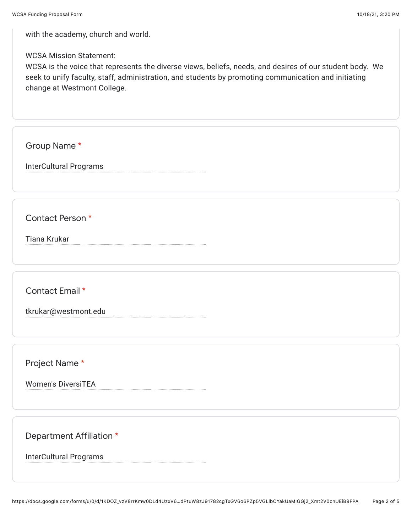with the academy, church and world.

## WCSA Mission Statement:

WCSA is the voice that represents the diverse views, beliefs, needs, and desires of our student body. We seek to unify faculty, staff, administration, and students by promoting communication and initiating change at Westmont College.

Group Name \*

InterCultural Programs

Contact Person \*

Tiana Krukar

Contact Email \*

tkrukar@westmont.edu

Project Name \*

Women's DiversiTEA

Department Affiliation \*

InterCultural Programs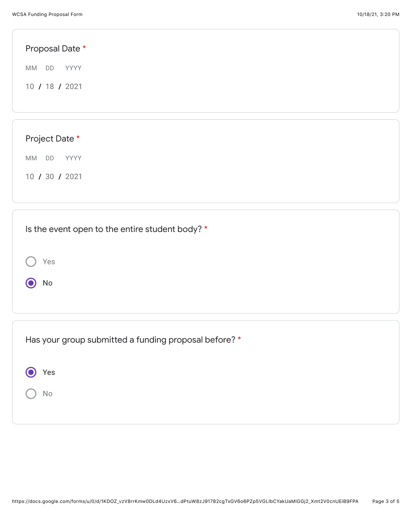| Proposal Date * |  |  |  |
|-----------------|--|--|--|
| MM DD<br>YYYY   |  |  |  |
| 10 / 18 / 2021  |  |  |  |
|                 |  |  |  |
|                 |  |  |  |
| Project Date *  |  |  |  |
| MM DD YYYY      |  |  |  |
| 10 / 30 / 2021  |  |  |  |
|                 |  |  |  |

| Is the event open to the entire student body? *       |
|-------------------------------------------------------|
| Yes                                                   |
| No                                                    |
|                                                       |
|                                                       |
| Has your group submitted a funding proposal before? * |
| Yes                                                   |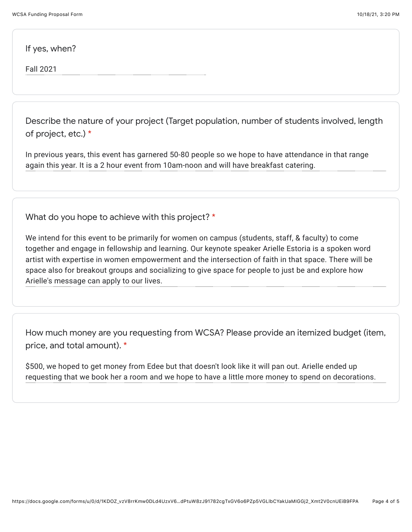If yes, when?

Fall 2021

Describe the nature of your project (Target population, number of students involved, length of project, etc.) \*

In previous years, this event has garnered 50-80 people so we hope to have attendance in that range again this year. It is a 2 hour event from 10am-noon and will have breakfast catering.

What do you hope to achieve with this project? \*

We intend for this event to be primarily for women on campus (students, staff, & faculty) to come together and engage in fellowship and learning. Our keynote speaker Arielle Estoria is a spoken word artist with expertise in women empowerment and the intersection of faith in that space. There will be space also for breakout groups and socializing to give space for people to just be and explore how Arielle's message can apply to our lives.

How much money are you requesting from WCSA? Please provide an itemized budget (item, price, and total amount). \*

\$500, we hoped to get money from Edee but that doesn't look like it will pan out. Arielle ended up requesting that we book her a room and we hope to have a little more money to spend on decorations.